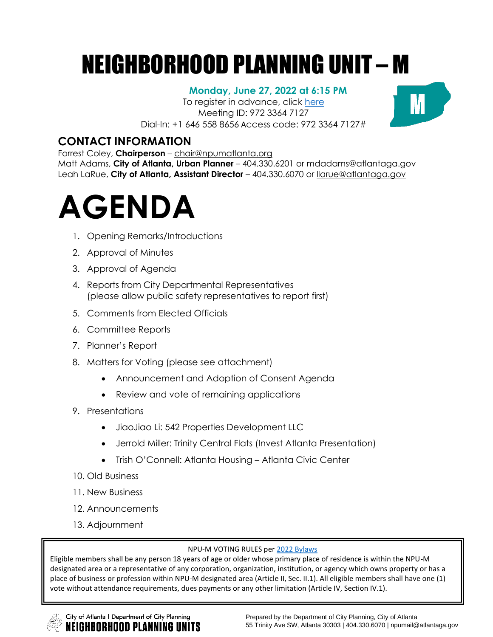# NEIGHBORHOOD PLANNING UNIT – M

## **Monday, June 27, 2022 at 6:15 PM**

To register in advance, click [here](https://zoom.us/meeting/register/tJMvdOquqjwrGNMzjeUO15u88PSooneRz2Fp) Meeting ID: 972 3364 7127 Dial-In: +1 646 558 8656 Access code: 972 3364 7127#



## **CONTACT INFORMATION**

Forrest Coley, **Chairperson** – [chair@npumatlanta.org](mailto:chair@npumatlanta.org)

Matt Adams, **City of Atlanta, Urban Planner** – 404.330.6201 or [mdadams@atlantaga.gov](mailto:mdadams@atlantaga.gov) Leah LaRue, **City of Atlanta, Assistant Director** – 404.330.6070 or [llarue@atlantaga.gov](mailto:llarue@atlantaga.gov)

# **AGENDA**

- 1. Opening Remarks/Introductions
- 2. Approval of Minutes
- 3. Approval of Agenda
- 4. Reports from City Departmental Representatives (please allow public safety representatives to report first)
- 5. Comments from Elected Officials
- 6. Committee Reports
- 7. Planner's Report
- 8. Matters for Voting (please see attachment)
	- Announcement and Adoption of Consent Agenda
	- Review and vote of remaining applications
- 9. Presentations
	- JiaoJiao Li: 542 Properties Development LLC
	- Jerrold Miller: Trinity Central Flats (Invest Atlanta Presentation)
	- Trish O'Connell: Atlanta Housing Atlanta Civic Center
- 10. Old Business
- 11. New Business
- 12. Announcements
- 13. Adjournment

#### NPU-M VOTING RULES per [2022 Bylaws](https://drive.google.com/file/d/1WrlKF3yO45LHsPKIsNOlFVRpxb2u4D5H/view?usp=sharing)

Eligible members shall be any person 18 years of age or older whose primary place of residence is within the NPU-M designated area or a representative of any corporation, organization, institution, or agency which owns property or has a place of business or profession within NPU-M designated area (Article II, Sec. II.1). All eligible members shall have one (1) vote without attendance requirements, dues payments or any other limitation (Article IV, Section IV.1).

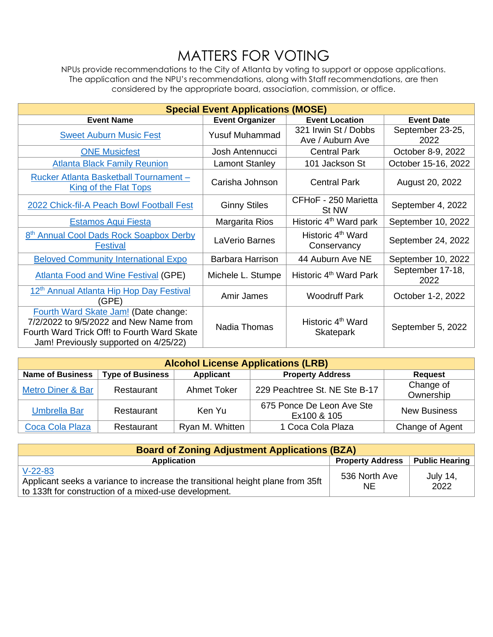## MATTERS FOR VOTING

NPUs provide recommendations to the City of Atlanta by voting to support or oppose applications. The application and the NPU's recommendations, along with Staff recommendations, are then considered by the appropriate board, association, commission, or office.

| <b>Special Event Applications (MOSE)</b>                                                                                                                               |                        |                                              |                          |  |
|------------------------------------------------------------------------------------------------------------------------------------------------------------------------|------------------------|----------------------------------------------|--------------------------|--|
| <b>Event Name</b>                                                                                                                                                      | <b>Event Organizer</b> | <b>Event Location</b>                        | <b>Event Date</b>        |  |
| <b>Sweet Auburn Music Fest</b>                                                                                                                                         | <b>Yusuf Muhammad</b>  | 321 Irwin St / Dobbs<br>Ave / Auburn Ave     | September 23-25,<br>2022 |  |
| <b>ONE Musicfest</b>                                                                                                                                                   | Josh Antennucci        | <b>Central Park</b>                          | October 8-9, 2022        |  |
| <b>Atlanta Black Family Reunion</b>                                                                                                                                    | <b>Lamont Stanley</b>  | 101 Jackson St                               | October 15-16, 2022      |  |
| Rucker Atlanta Basketball Tournament -<br>King of the Flat Tops                                                                                                        | Carisha Johnson        | <b>Central Park</b>                          | August 20, 2022          |  |
| 2022 Chick-fil-A Peach Bowl Football Fest                                                                                                                              | <b>Ginny Stiles</b>    | CFHoF - 250 Marietta<br>St NW                | September 4, 2022        |  |
| <b>Estamos Aqui Fiesta</b>                                                                                                                                             | Margarita Rios         | Historic 4 <sup>th</sup> Ward park           | September 10, 2022       |  |
| 8 <sup>th</sup> Annual Cool Dads Rock Soapbox Derby<br><b>Festival</b>                                                                                                 | LaVerio Barnes         | Historic 4 <sup>th</sup> Ward<br>Conservancy | September 24, 2022       |  |
| <b>Beloved Community International Expo</b>                                                                                                                            | Barbara Harrison       | 44 Auburn Ave NE                             | September 10, 2022       |  |
| <b>Atlanta Food and Wine Festival (GPE)</b>                                                                                                                            | Michele L. Stumpe      | Historic 4 <sup>th</sup> Ward Park           | September 17-18,<br>2022 |  |
| 12 <sup>th</sup> Annual Atlanta Hip Hop Day Festival<br>(GPE)                                                                                                          | Amir James             | <b>Woodruff Park</b>                         | October 1-2, 2022        |  |
| Fourth Ward Skate Jam! (Date change:<br>7/2/2022 to 9/5/2022 and New Name from<br>Fourth Ward Trick Off! to Fourth Ward Skate<br>Jam! Previously supported on 4/25/22) | Nadia Thomas           | Historic 4 <sup>th</sup> Ward<br>Skatepark   | September 5, 2022        |  |

| <b>Alcohol License Applications (LRB)</b> |                         |                 |                                          |                        |
|-------------------------------------------|-------------------------|-----------------|------------------------------------------|------------------------|
| <b>Name of Business</b>                   | <b>Type of Business</b> | Applicant       | <b>Property Address</b>                  | <b>Request</b>         |
| Metro Diner & Bar                         | Restaurant              | Ahmet Toker     | 229 Peachtree St. NE Ste B-17            | Change of<br>Ownership |
| <b>Umbrella Bar</b>                       | Restaurant              | Ken Yu          | 675 Ponce De Leon Ave Ste<br>Ex100 & 105 | <b>New Business</b>    |
| Coca Cola Plaza                           | Restaurant              | Ryan M. Whitten | 1 Coca Cola Plaza                        | Change of Agent        |

| <b>Board of Zoning Adjustment Applications (BZA)</b>                                                                                                 |                         |                         |  |  |
|------------------------------------------------------------------------------------------------------------------------------------------------------|-------------------------|-------------------------|--|--|
| Application                                                                                                                                          | <b>Property Address</b> | Public Hearing          |  |  |
| $V-22-83$<br>Applicant seeks a variance to increase the transitional height plane from 35ft<br>to 133ft for construction of a mixed-use development. | 536 North Ave<br>NE.    | <b>July 14,</b><br>2022 |  |  |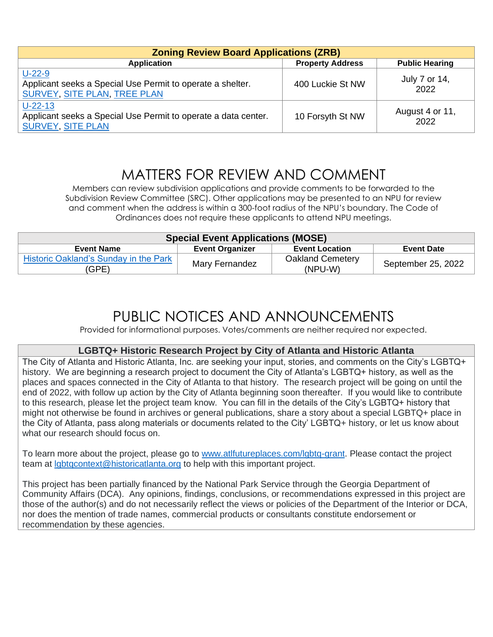| <b>Zoning Review Board Applications (ZRB)</b>                                                                 |                         |                         |  |
|---------------------------------------------------------------------------------------------------------------|-------------------------|-------------------------|--|
| <b>Application</b>                                                                                            | <b>Property Address</b> | <b>Public Hearing</b>   |  |
| $U-22-9$<br>Applicant seeks a Special Use Permit to operate a shelter.<br><b>SURVEY, SITE PLAN, TREE PLAN</b> | 400 Luckie St NW        | July 7 or 14,<br>2022   |  |
| $U-22-13$<br>Applicant seeks a Special Use Permit to operate a data center.<br><b>SURVEY, SITE PLAN</b>       | 10 Forsyth St NW        | August 4 or 11,<br>2022 |  |

## MATTERS FOR REVIEW AND COMMENT

Members can review subdivision applications and provide comments to be forwarded to the Subdivision Review Committee (SRC). Other applications may be presented to an NPU for review and comment when the address is within a 300-foot radius of the NPU's boundary. The Code of Ordinances does not require these applicants to attend NPU meetings.

| <b>Special Event Applications (MOSE)</b>              |                        |                                    |                    |
|-------------------------------------------------------|------------------------|------------------------------------|--------------------|
| <b>Event Name</b>                                     | <b>Event Organizer</b> | <b>Event Location</b>              | <b>Event Date</b>  |
| <b>Historic Oakland's Sunday in the Park</b><br>'GPE) | Mary Fernandez         | <b>Oakland Cemetery</b><br>(NPU-W) | September 25, 2022 |

## PUBLIC NOTICES AND ANNOUNCEMENTS

Provided for informational purposes. Votes/comments are neither required nor expected.

## **LGBTQ+ Historic Research Project by City of Atlanta and Historic Atlanta**

The City of Atlanta and Historic Atlanta, Inc. are seeking your input, stories, and comments on the City's LGBTQ+ history. We are beginning a research project to document the City of Atlanta's LGBTQ+ history, as well as the places and spaces connected in the City of Atlanta to that history. The research project will be going on until the end of 2022, with follow up action by the City of Atlanta beginning soon thereafter. If you would like to contribute to this research, please let the project team know. You can fill in the details of the City's LGBTQ+ history that might not otherwise be found in archives or general publications, share a story about a special LGBTQ+ place in the City of Atlanta, pass along materials or documents related to the City' LGBTQ+ history, or let us know about what our research should focus on.

To learn more about the project, please go to [www.atlfutureplaces.com/lgbtq-grant.](https://gcc02.safelinks.protection.outlook.com/?url=http%3A%2F%2Fwww.atlfutureplaces.com%2Flgbtq-grant&data=05%7C01%7CKDunlap%40atlantaGA.gov%7Cbab5e2281c94440256a808da3f208cbe%7C031a550af1f34b629c643ef02c7798a5%7C0%7C0%7C637891706264758080%7CUnknown%7CTWFpbGZsb3d8eyJWIjoiMC4wLjAwMDAiLCJQIjoiV2luMzIiLCJBTiI6Ik1haWwiLCJXVCI6Mn0%3D%7C3000%7C%7C%7C&sdata=9zcU5lfO3SxqK%2FuNNkQwh0dMYrsHGEwIAR95XiG5vxM%3D&reserved=0) Please contact the project team at [lgbtqcontext@historicatlanta.org](mailto:lgbtqcontext@historicatlanta.org) to help with this important project.

This project has been partially financed by the National Park Service through the Georgia Department of Community Affairs (DCA). Any opinions, findings, conclusions, or recommendations expressed in this project are those of the author(s) and do not necessarily reflect the views or policies of the Department of the Interior or DCA, nor does the mention of trade names, commercial products or consultants constitute endorsement or recommendation by these agencies.